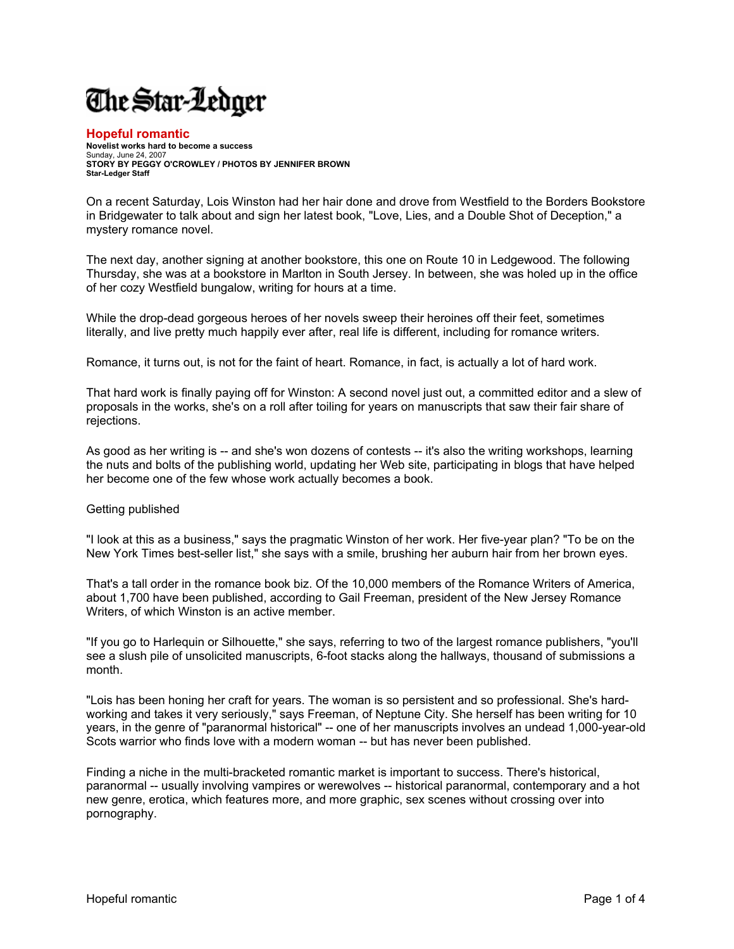## The Star-Ledger

## **Hopeful romantic**

**Novelist works hard to become a success**  Sunday, June 24, 2007 **STORY BY PEGGY O'CROWLEY / PHOTOS BY JENNIFER BROWN Star-Ledger Staff**

On a recent Saturday, Lois Winston had her hair done and drove from Westfield to the Borders Bookstore in Bridgewater to talk about and sign her latest book, "Love, Lies, and a Double Shot of Deception," a mystery romance novel.

The next day, another signing at another bookstore, this one on Route 10 in Ledgewood. The following Thursday, she was at a bookstore in Marlton in South Jersey. In between, she was holed up in the office of her cozy Westfield bungalow, writing for hours at a time.

While the drop-dead gorgeous heroes of her novels sweep their heroines off their feet, sometimes literally, and live pretty much happily ever after, real life is different, including for romance writers.

Romance, it turns out, is not for the faint of heart. Romance, in fact, is actually a lot of hard work.

That hard work is finally paying off for Winston: A second novel just out, a committed editor and a slew of proposals in the works, she's on a roll after toiling for years on manuscripts that saw their fair share of rejections.

As good as her writing is -- and she's won dozens of contests -- it's also the writing workshops, learning the nuts and bolts of the publishing world, updating her Web site, participating in blogs that have helped her become one of the few whose work actually becomes a book.

## Getting published

"I look at this as a business," says the pragmatic Winston of her work. Her five-year plan? "To be on the New York Times best-seller list," she says with a smile, brushing her auburn hair from her brown eyes.

That's a tall order in the romance book biz. Of the 10,000 members of the Romance Writers of America, about 1,700 have been published, according to Gail Freeman, president of the New Jersey Romance Writers, of which Winston is an active member.

"If you go to Harlequin or Silhouette," she says, referring to two of the largest romance publishers, "you'll see a slush pile of unsolicited manuscripts, 6-foot stacks along the hallways, thousand of submissions a month.

"Lois has been honing her craft for years. The woman is so persistent and so professional. She's hardworking and takes it very seriously," says Freeman, of Neptune City. She herself has been writing for 10 years, in the genre of "paranormal historical" -- one of her manuscripts involves an undead 1,000-year-old Scots warrior who finds love with a modern woman -- but has never been published.

Finding a niche in the multi-bracketed romantic market is important to success. There's historical, paranormal -- usually involving vampires or werewolves -- historical paranormal, contemporary and a hot new genre, erotica, which features more, and more graphic, sex scenes without crossing over into pornography.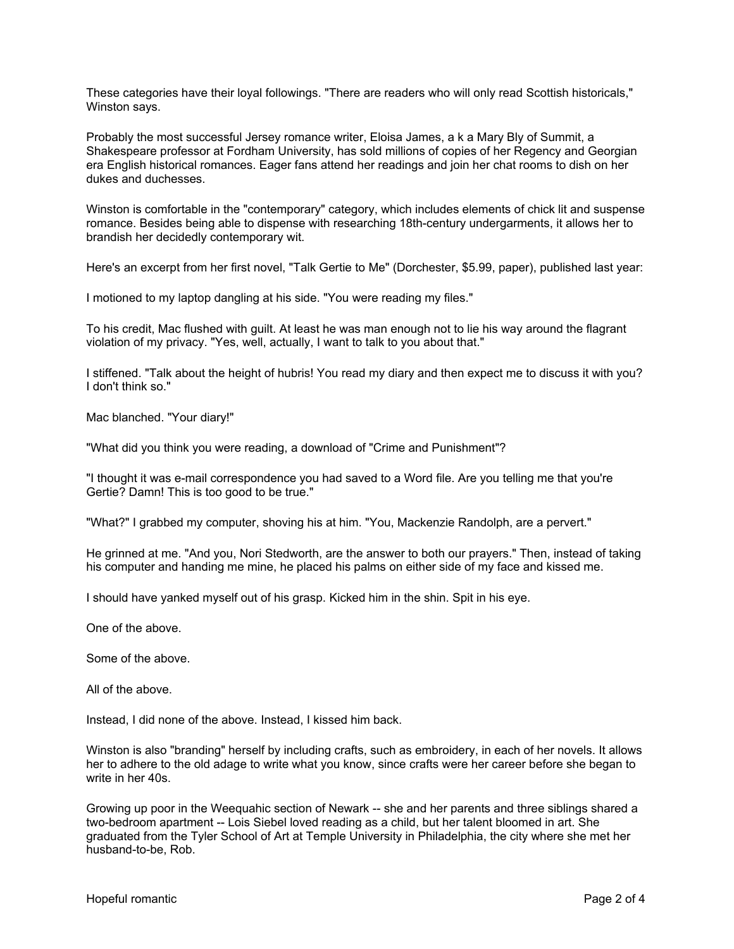These categories have their loyal followings. "There are readers who will only read Scottish historicals," Winston says.

Probably the most successful Jersey romance writer, Eloisa James, a k a Mary Bly of Summit, a Shakespeare professor at Fordham University, has sold millions of copies of her Regency and Georgian era English historical romances. Eager fans attend her readings and join her chat rooms to dish on her dukes and duchesses.

Winston is comfortable in the "contemporary" category, which includes elements of chick lit and suspense romance. Besides being able to dispense with researching 18th-century undergarments, it allows her to brandish her decidedly contemporary wit.

Here's an excerpt from her first novel, "Talk Gertie to Me" (Dorchester, \$5.99, paper), published last year:

I motioned to my laptop dangling at his side. "You were reading my files."

To his credit, Mac flushed with guilt. At least he was man enough not to lie his way around the flagrant violation of my privacy. "Yes, well, actually, I want to talk to you about that."

I stiffened. "Talk about the height of hubris! You read my diary and then expect me to discuss it with you? I don't think so."

Mac blanched. "Your diary!"

"What did you think you were reading, a download of "Crime and Punishment"?

"I thought it was e-mail correspondence you had saved to a Word file. Are you telling me that you're Gertie? Damn! This is too good to be true."

"What?" I grabbed my computer, shoving his at him. "You, Mackenzie Randolph, are a pervert."

He grinned at me. "And you, Nori Stedworth, are the answer to both our prayers." Then, instead of taking his computer and handing me mine, he placed his palms on either side of my face and kissed me.

I should have yanked myself out of his grasp. Kicked him in the shin. Spit in his eye.

One of the above.

Some of the above.

All of the above.

Instead, I did none of the above. Instead, I kissed him back.

Winston is also "branding" herself by including crafts, such as embroidery, in each of her novels. It allows her to adhere to the old adage to write what you know, since crafts were her career before she began to write in her 40s.

Growing up poor in the Weequahic section of Newark -- she and her parents and three siblings shared a two-bedroom apartment -- Lois Siebel loved reading as a child, but her talent bloomed in art. She graduated from the Tyler School of Art at Temple University in Philadelphia, the city where she met her husband-to-be, Rob.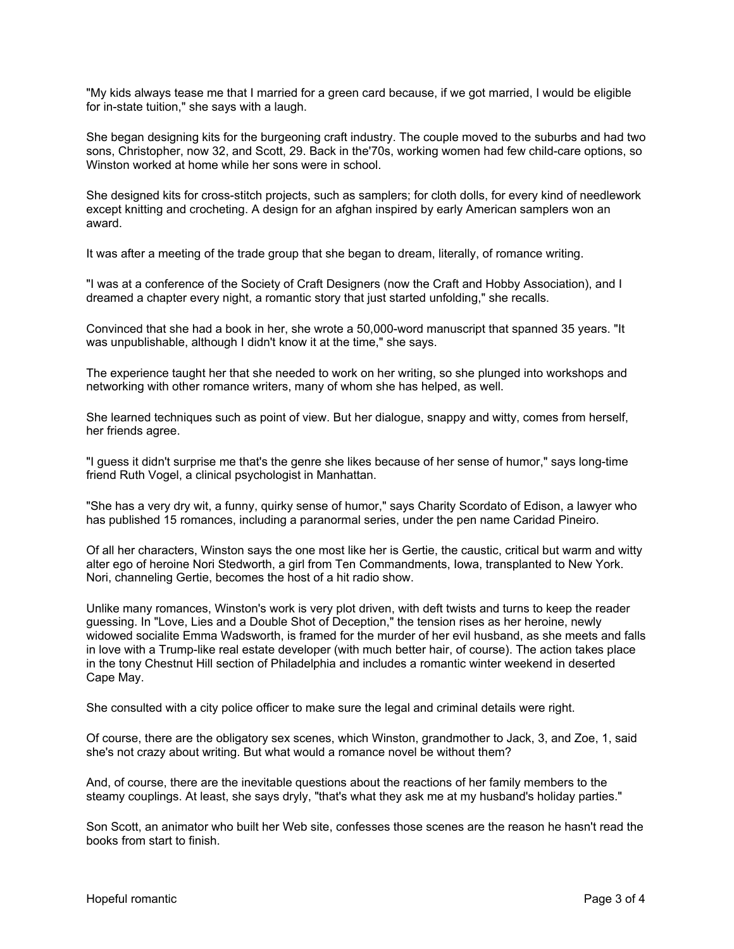"My kids always tease me that I married for a green card because, if we got married, I would be eligible for in-state tuition," she says with a laugh.

She began designing kits for the burgeoning craft industry. The couple moved to the suburbs and had two sons, Christopher, now 32, and Scott, 29. Back in the'70s, working women had few child-care options, so Winston worked at home while her sons were in school.

She designed kits for cross-stitch projects, such as samplers; for cloth dolls, for every kind of needlework except knitting and crocheting. A design for an afghan inspired by early American samplers won an award.

It was after a meeting of the trade group that she began to dream, literally, of romance writing.

"I was at a conference of the Society of Craft Designers (now the Craft and Hobby Association), and I dreamed a chapter every night, a romantic story that just started unfolding," she recalls.

Convinced that she had a book in her, she wrote a 50,000-word manuscript that spanned 35 years. "It was unpublishable, although I didn't know it at the time," she says.

The experience taught her that she needed to work on her writing, so she plunged into workshops and networking with other romance writers, many of whom she has helped, as well.

She learned techniques such as point of view. But her dialogue, snappy and witty, comes from herself, her friends agree.

"I guess it didn't surprise me that's the genre she likes because of her sense of humor," says long-time friend Ruth Vogel, a clinical psychologist in Manhattan.

"She has a very dry wit, a funny, quirky sense of humor," says Charity Scordato of Edison, a lawyer who has published 15 romances, including a paranormal series, under the pen name Caridad Pineiro.

Of all her characters, Winston says the one most like her is Gertie, the caustic, critical but warm and witty alter ego of heroine Nori Stedworth, a girl from Ten Commandments, Iowa, transplanted to New York. Nori, channeling Gertie, becomes the host of a hit radio show.

Unlike many romances, Winston's work is very plot driven, with deft twists and turns to keep the reader guessing. In "Love, Lies and a Double Shot of Deception," the tension rises as her heroine, newly widowed socialite Emma Wadsworth, is framed for the murder of her evil husband, as she meets and falls in love with a Trump-like real estate developer (with much better hair, of course). The action takes place in the tony Chestnut Hill section of Philadelphia and includes a romantic winter weekend in deserted Cape May.

She consulted with a city police officer to make sure the legal and criminal details were right.

Of course, there are the obligatory sex scenes, which Winston, grandmother to Jack, 3, and Zoe, 1, said she's not crazy about writing. But what would a romance novel be without them?

And, of course, there are the inevitable questions about the reactions of her family members to the steamy couplings. At least, she says dryly, "that's what they ask me at my husband's holiday parties."

Son Scott, an animator who built her Web site, confesses those scenes are the reason he hasn't read the books from start to finish.